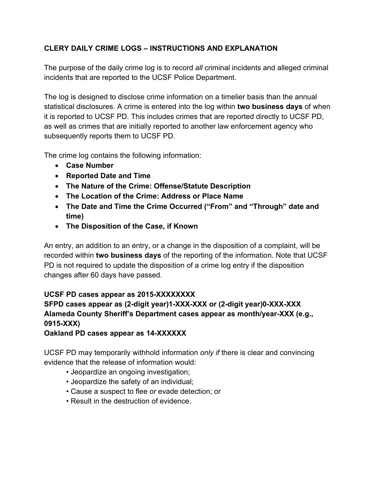## **CLERY DAILY CRIME LOGS – INSTRUCTIONS AND EXPLANATION**

The purpose of the daily crime log is to record *all* criminal incidents and alleged criminal incidents that are reported to the UCSF Police Department.

The log is designed to disclose crime information on a timelier basis than the annual statistical disclosures. A crime is entered into the log within **two business days** of when it is reported to UCSF PD. This includes crimes that are reported directly to UCSF PD, as well as crimes that are initially reported to another law enforcement agency who subsequently reports them to UCSF PD.

The crime log contains the following information:

- **Case Number**
- **Reported Date and Time**
- **The Nature of the Crime: Offense/Statute Description**
- **The Location of the Crime: Address or Place Name**
- **The Date and Time the Crime Occurred ("From" and "Through" date and time)**
- **The Disposition of the Case, if Known**

An entry, an addition to an entry, or a change in the disposition of a complaint, will be recorded within **two business days** of the reporting of the information. Note that UCSF PD is not required to update the disposition of a crime log entry if the disposition changes after 60 days have passed.

## **UCSF PD cases appear as 2015-XXXXXXXX**

## **SFPD cases appear as (2-digit year)1-XXX-XXX or (2-digit year)0-XXX-XXX Alameda County Sheriff's Department cases appear as month/year-XXX (e.g., 0915-XXX)**

**Oakland PD cases appear as 14-XXXXXX** 

UCSF PD may temporarily withhold information *only if* there is clear and convincing evidence that the release of information would:

- Jeopardize an ongoing investigation;
- Jeopardize the safety of an individual;
- Cause a suspect to flee or evade detection; or
- Result in the destruction of evidence.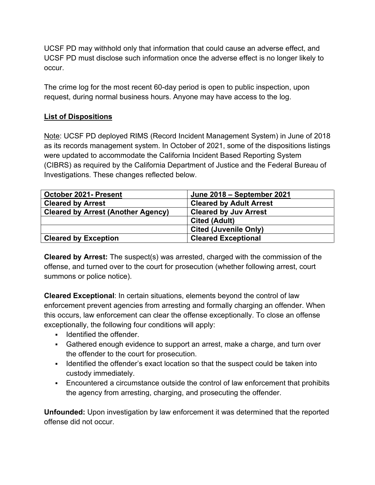UCSF PD may withhold only that information that could cause an adverse effect, and UCSF PD must disclose such information once the adverse effect is no longer likely to occur.

The crime log for the most recent 60-day period is open to public inspection, upon request, during normal business hours. Anyone may have access to the log.

## **List of Dispositions**

Note: UCSF PD deployed RIMS (Record Incident Management System) in June of 2018 as its records management system. In October of 2021, some of the dispositions listings were updated to accommodate the California Incident Based Reporting System (CIBRS) as required by the California Department of Justice and the Federal Bureau of Investigations. These changes reflected below.

| October 2021- Present                     | June 2018 - September 2021     |
|-------------------------------------------|--------------------------------|
| <b>Cleared by Arrest</b>                  | <b>Cleared by Adult Arrest</b> |
| <b>Cleared by Arrest (Another Agency)</b> | <b>Cleared by Juv Arrest</b>   |
|                                           | <b>Cited (Adult)</b>           |
|                                           | <b>Cited (Juvenile Only)</b>   |
| <b>Cleared by Exception</b>               | <b>Cleared Exceptional</b>     |

**Cleared by Arrest:** The suspect(s) was arrested, charged with the commission of the offense, and turned over to the court for prosecution (whether following arrest, court summons or police notice).

**Cleared Exceptional**: In certain situations, elements beyond the control of law enforcement prevent agencies from arresting and formally charging an offender. When this occurs, law enforcement can clear the offense exceptionally. To close an offense exceptionally, the following four conditions will apply:

- **IDENTIFIED IN A LIGARY IS CONTENT**
- Gathered enough evidence to support an arrest, make a charge, and turn over the offender to the court for prosecution.
- I Identified the offender's exact location so that the suspect could be taken into custody immediately.
- Encountered a circumstance outside the control of law enforcement that prohibits the agency from arresting, charging, and prosecuting the offender.

**Unfounded:** Upon investigation by law enforcement it was determined that the reported offense did not occur.